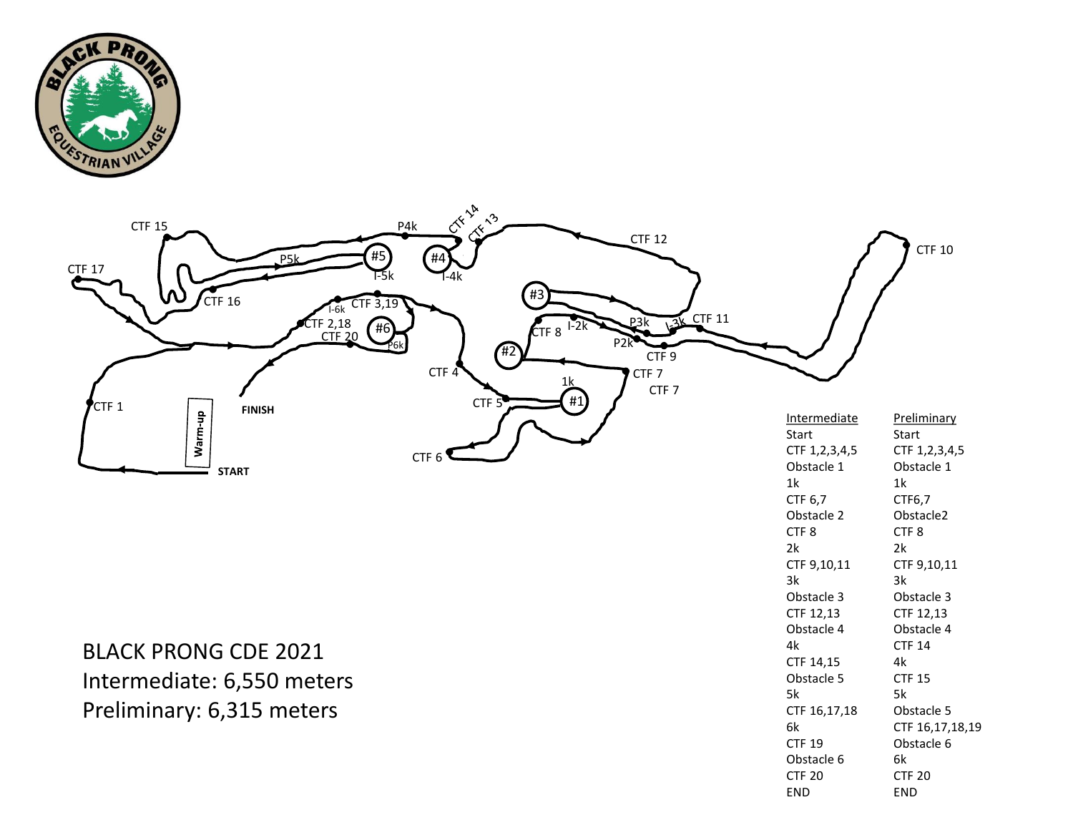



CTF 20 END

END